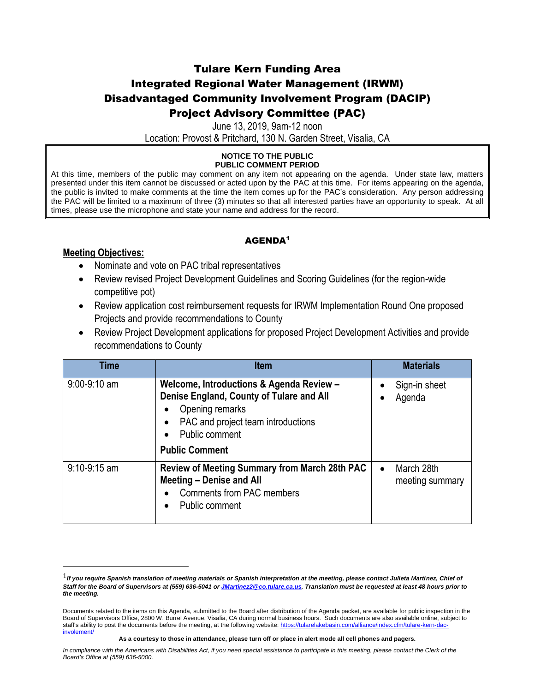### Tulare Kern Funding Area Integrated Regional Water Management (IRWM) Disadvantaged Community Involvement Program (DACIP) Project Advisory Committee (PAC)

June 13, 2019, 9am-12 noon

Location: Provost & Pritchard, 130 N. Garden Street, Visalia, CA

#### **NOTICE TO THE PUBLIC PUBLIC COMMENT PERIOD**

At this time, members of the public may comment on any item not appearing on the agenda. Under state law, matters presented under this item cannot be discussed or acted upon by the PAC at this time. For items appearing on the agenda, the public is invited to make comments at the time the item comes up for the PAC's consideration. Any person addressing the PAC will be limited to a maximum of three (3) minutes so that all interested parties have an opportunity to speak. At all times, please use the microphone and state your name and address for the record.

### AGENDA<sup>1</sup>

#### **Meeting Objectives:**

 $\overline{\phantom{a}}$ 

- Nominate and vote on PAC tribal representatives
- Review revised Project Development Guidelines and Scoring Guidelines (for the region-wide competitive pot)
- Review application cost reimbursement requests for IRWM Implementation Round One proposed Projects and provide recommendations to County
- Review Project Development applications for proposed Project Development Activities and provide recommendations to County

| Time           | <b>Item</b>                                                                                                                                                     |           | <b>Materials</b>              |
|----------------|-----------------------------------------------------------------------------------------------------------------------------------------------------------------|-----------|-------------------------------|
| $9:00-9:10$ am | Welcome, Introductions & Agenda Review -<br>Denise England, County of Tulare and All<br>Opening remarks<br>PAC and project team introductions<br>Public comment | $\bullet$ | Sign-in sheet<br>Agenda       |
|                | <b>Public Comment</b>                                                                                                                                           |           |                               |
| $9:10-9:15$ am | Review of Meeting Summary from March 28th PAC<br>Meeting - Denise and All<br><b>Comments from PAC members</b><br>Public comment                                 | $\bullet$ | March 28th<br>meeting summary |

<sup>1</sup>*If you require Spanish translation of meeting materials or Spanish interpretation at the meeting, please contact Julieta Martinez, Chief of Staff for the Board of Supervisors at (559) 636-5041 o[r JMartinez2@co.tulare.ca.us.](mailto:JMartinez2@co.tulare.ca.us) Translation must be requested at least 48 hours prior to the meeting.* 

Documents related to the items on this Agenda, submitted to the Board after distribution of the Agenda packet, are available for public inspection in the Board of Supervisors Office, 2800 W. Burrel Avenue, Visalia, CA during normal business hours. Such documents are also available online, subject to staff's ability to post the documents before the meeting, at the following website: https://tularelakebasin.com/alliance/index.cfm/tulare-kern-dac [involement/](https://tularelakebasin.com/alliance/index.cfm/tulare-kern-dac-involement/)

**As a courtesy to those in attendance, please turn off or place in alert mode all cell phones and pagers.**

*In compliance with the Americans with Disabilities Act, if you need special assistance to participate in this meeting, please contact the Clerk of the Board's Office at (559) 636-5000.*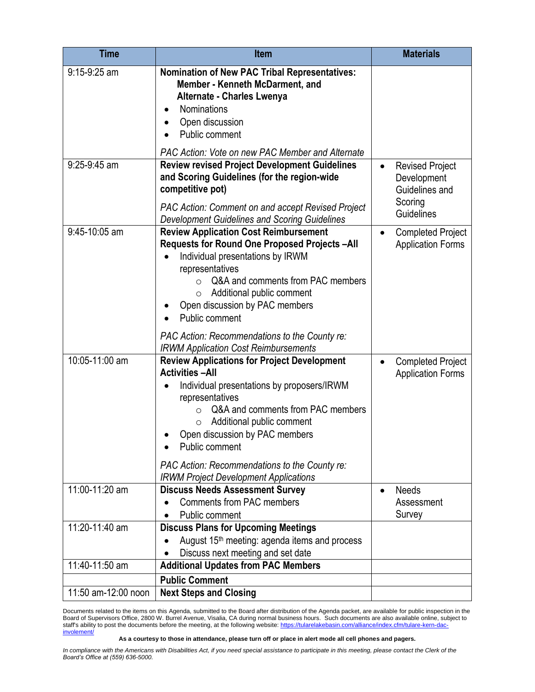| <b>Time</b>         | <b>Item</b>                                                                                                                                                                                                                                                                                                                                                                                       | <b>Materials</b>                                                                              |
|---------------------|---------------------------------------------------------------------------------------------------------------------------------------------------------------------------------------------------------------------------------------------------------------------------------------------------------------------------------------------------------------------------------------------------|-----------------------------------------------------------------------------------------------|
| 9:15-9:25 am        | <b>Nomination of New PAC Tribal Representatives:</b><br>Member - Kenneth McDarment, and<br><b>Alternate - Charles Lwenya</b><br><b>Nominations</b><br>$\bullet$<br>Open discussion<br>Public comment                                                                                                                                                                                              |                                                                                               |
|                     | PAC Action: Vote on new PAC Member and Alternate                                                                                                                                                                                                                                                                                                                                                  |                                                                                               |
| 9:25-9:45 am        | <b>Review revised Project Development Guidelines</b><br>and Scoring Guidelines (for the region-wide<br>competitive pot)<br><b>PAC Action: Comment on and accept Revised Project</b><br><b>Development Guidelines and Scoring Guidelines</b>                                                                                                                                                       | <b>Revised Project</b><br>$\bullet$<br>Development<br>Guidelines and<br>Scoring<br>Guidelines |
| 9:45-10:05 am       | <b>Review Application Cost Reimbursement</b><br>Requests for Round One Proposed Projects-All<br>Individual presentations by IRWM<br>$\bullet$<br>representatives<br>Q&A and comments from PAC members<br>Additional public comment<br>$\circ$<br>Open discussion by PAC members<br>Public comment<br>PAC Action: Recommendations to the County re:<br><b>IRWM Application Cost Reimbursements</b> | <b>Completed Project</b><br><b>Application Forms</b>                                          |
| 10:05-11:00 am      | <b>Review Applications for Project Development</b><br><b>Activities-All</b><br>Individual presentations by proposers/IRWM<br>representatives<br>Q&A and comments from PAC members<br>$\Omega$<br>Additional public comment<br>O<br>Open discussion by PAC members<br>Public comment<br>PAC Action: Recommendations to the County re:<br><b>IRWM Project Development Applications</b>              | <b>Completed Project</b><br><b>Application Forms</b>                                          |
| 11:00-11:20 am      | <b>Discuss Needs Assessment Survey</b><br><b>Comments from PAC members</b><br>Public comment                                                                                                                                                                                                                                                                                                      | <b>Needs</b><br>Assessment<br>Survey                                                          |
| 11:20-11:40 am      | <b>Discuss Plans for Upcoming Meetings</b><br>August 15 <sup>th</sup> meeting: agenda items and process<br>Discuss next meeting and set date                                                                                                                                                                                                                                                      |                                                                                               |
| 11:40-11:50 am      | <b>Additional Updates from PAC Members</b>                                                                                                                                                                                                                                                                                                                                                        |                                                                                               |
| 11:50 am-12:00 noon | <b>Public Comment</b><br><b>Next Steps and Closing</b>                                                                                                                                                                                                                                                                                                                                            |                                                                                               |
|                     |                                                                                                                                                                                                                                                                                                                                                                                                   |                                                                                               |

Documents related to the items on this Agenda, submitted to the Board after distribution of the Agenda packet, are available for public inspection in the Board of Supervisors Office, 2800 W. Burrel Avenue, Visalia, CA during normal business hours. Such documents are also available online, subject to staff's ability to post the documents before the meeting, at the following website[: https://tularelakebasin.com/alliance/index.cfm/tulare-kern-dac](https://tularelakebasin.com/alliance/index.cfm/tulare-kern-dac-involement/)[involement/](https://tularelakebasin.com/alliance/index.cfm/tulare-kern-dac-involement/)

**As a courtesy to those in attendance, please turn off or place in alert mode all cell phones and pagers.**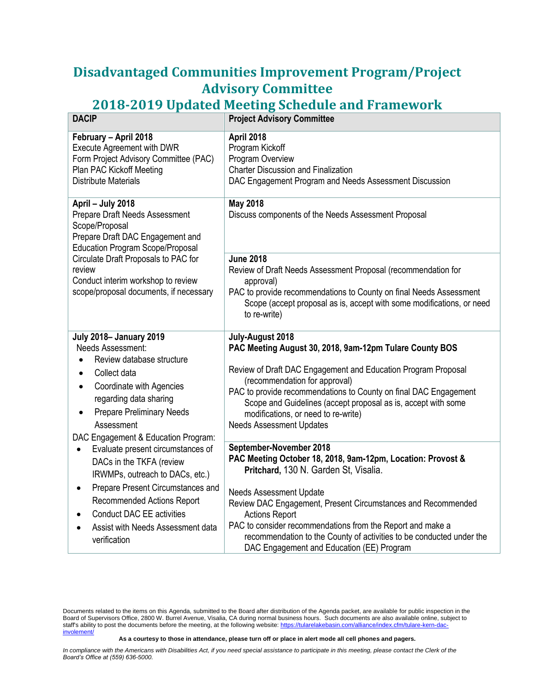## **Disadvantaged Communities Improvement Program/Project Advisory Committee**

# **2018-2019 Updated Meeting Schedule and Framework**

| <b>DACIP</b>                                                                                                                                                                                                                                                                                  | <b>Project Advisory Committee</b>                                                                                                                                                                                                                                                                                                                                                                                                             |
|-----------------------------------------------------------------------------------------------------------------------------------------------------------------------------------------------------------------------------------------------------------------------------------------------|-----------------------------------------------------------------------------------------------------------------------------------------------------------------------------------------------------------------------------------------------------------------------------------------------------------------------------------------------------------------------------------------------------------------------------------------------|
| February - April 2018<br><b>Execute Agreement with DWR</b><br>Form Project Advisory Committee (PAC)<br>Plan PAC Kickoff Meeting<br><b>Distribute Materials</b>                                                                                                                                | April 2018<br>Program Kickoff<br>Program Overview<br><b>Charter Discussion and Finalization</b><br>DAC Engagement Program and Needs Assessment Discussion                                                                                                                                                                                                                                                                                     |
| April - July 2018<br>Prepare Draft Needs Assessment<br>Scope/Proposal<br>Prepare Draft DAC Engagement and<br><b>Education Program Scope/Proposal</b>                                                                                                                                          | <b>May 2018</b><br>Discuss components of the Needs Assessment Proposal                                                                                                                                                                                                                                                                                                                                                                        |
| Circulate Draft Proposals to PAC for<br>review<br>Conduct interim workshop to review<br>scope/proposal documents, if necessary                                                                                                                                                                | <b>June 2018</b><br>Review of Draft Needs Assessment Proposal (recommendation for<br>approval)<br>PAC to provide recommendations to County on final Needs Assessment<br>Scope (accept proposal as is, accept with some modifications, or need<br>to re-write)                                                                                                                                                                                 |
| <b>July 2018- January 2019</b><br>Needs Assessment:<br>Review database structure<br>Collect data<br>$\bullet$<br>Coordinate with Agencies<br>٠<br>regarding data sharing<br><b>Prepare Preliminary Needs</b><br>$\bullet$<br>Assessment<br>DAC Engagement & Education Program:                | July-August 2018<br>PAC Meeting August 30, 2018, 9am-12pm Tulare County BOS<br>Review of Draft DAC Engagement and Education Program Proposal<br>(recommendation for approval)<br>PAC to provide recommendations to County on final DAC Engagement<br>Scope and Guidelines (accept proposal as is, accept with some<br>modifications, or need to re-write)<br><b>Needs Assessment Updates</b>                                                  |
| Evaluate present circumstances of<br>DACs in the TKFA (review<br>IRWMPs, outreach to DACs, etc.)<br>Prepare Present Circumstances and<br>$\bullet$<br><b>Recommended Actions Report</b><br><b>Conduct DAC EE activities</b><br>Assist with Needs Assessment data<br>$\bullet$<br>verification | September-November 2018<br>PAC Meeting October 18, 2018, 9am-12pm, Location: Provost &<br>Pritchard, 130 N. Garden St, Visalia.<br><b>Needs Assessment Update</b><br>Review DAC Engagement, Present Circumstances and Recommended<br><b>Actions Report</b><br>PAC to consider recommendations from the Report and make a<br>recommendation to the County of activities to be conducted under the<br>DAC Engagement and Education (EE) Program |

**As a courtesy to those in attendance, please turn off or place in alert mode all cell phones and pagers.**

Documents related to the items on this Agenda, submitted to the Board after distribution of the Agenda packet, are available for public inspection in the Board of Supervisors Office, 2800 W. Burrel Avenue, Visalia, CA during normal business hours. Such documents are also available online, subject to staff's ability to post the documents before the meeting, at the following website[: https://tularelakebasin.com/alliance/index.cfm/tulare-kern-dac](https://tularelakebasin.com/alliance/index.cfm/tulare-kern-dac-involement/)[involement/](https://tularelakebasin.com/alliance/index.cfm/tulare-kern-dac-involement/)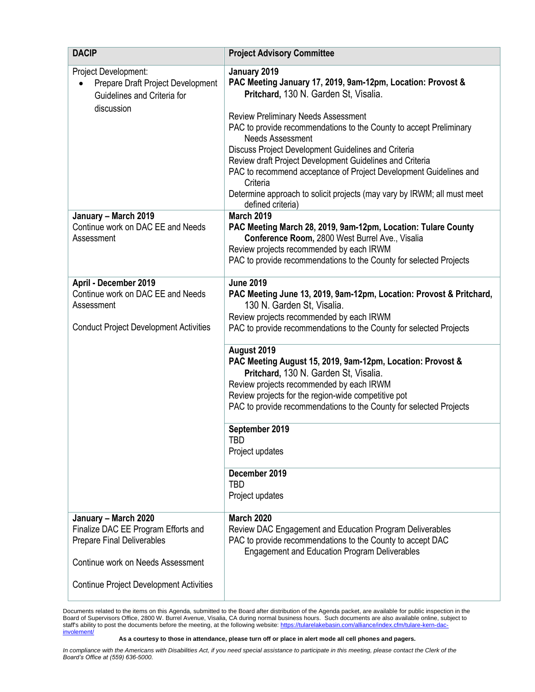| <b>DACIP</b>                                                                                                                                                                            | <b>Project Advisory Committee</b>                                                                                                                                                                                                                                                                                                                                                                                                                                                                                                                                       |
|-----------------------------------------------------------------------------------------------------------------------------------------------------------------------------------------|-------------------------------------------------------------------------------------------------------------------------------------------------------------------------------------------------------------------------------------------------------------------------------------------------------------------------------------------------------------------------------------------------------------------------------------------------------------------------------------------------------------------------------------------------------------------------|
| Project Development:<br>Prepare Draft Project Development<br>Guidelines and Criteria for<br>discussion                                                                                  | January 2019<br>PAC Meeting January 17, 2019, 9am-12pm, Location: Provost &<br>Pritchard, 130 N. Garden St, Visalia.<br><b>Review Preliminary Needs Assessment</b><br>PAC to provide recommendations to the County to accept Preliminary<br><b>Needs Assessment</b><br>Discuss Project Development Guidelines and Criteria<br>Review draft Project Development Guidelines and Criteria<br>PAC to recommend acceptance of Project Development Guidelines and<br>Criteria<br>Determine approach to solicit projects (may vary by IRWM; all must meet<br>defined criteria) |
| January - March 2019<br>Continue work on DAC EE and Needs<br>Assessment                                                                                                                 | <b>March 2019</b><br>PAC Meeting March 28, 2019, 9am-12pm, Location: Tulare County<br>Conference Room, 2800 West Burrel Ave., Visalia<br>Review projects recommended by each IRWM<br>PAC to provide recommendations to the County for selected Projects                                                                                                                                                                                                                                                                                                                 |
| April - December 2019<br>Continue work on DAC EE and Needs<br>Assessment<br><b>Conduct Project Development Activities</b>                                                               | <b>June 2019</b><br>PAC Meeting June 13, 2019, 9am-12pm, Location: Provost & Pritchard,<br>130 N. Garden St, Visalia.<br>Review projects recommended by each IRWM<br>PAC to provide recommendations to the County for selected Projects                                                                                                                                                                                                                                                                                                                                 |
|                                                                                                                                                                                         | August 2019<br>PAC Meeting August 15, 2019, 9am-12pm, Location: Provost &<br>Pritchard, 130 N. Garden St, Visalia.<br>Review projects recommended by each IRWM<br>Review projects for the region-wide competitive pot<br>PAC to provide recommendations to the County for selected Projects                                                                                                                                                                                                                                                                             |
|                                                                                                                                                                                         | September 2019<br><b>TBD</b><br>Project updates                                                                                                                                                                                                                                                                                                                                                                                                                                                                                                                         |
|                                                                                                                                                                                         | December 2019<br><b>TBD</b><br>Project updates                                                                                                                                                                                                                                                                                                                                                                                                                                                                                                                          |
| January - March 2020<br>Finalize DAC EE Program Efforts and<br><b>Prepare Final Deliverables</b><br>Continue work on Needs Assessment<br><b>Continue Project Development Activities</b> | <b>March 2020</b><br>Review DAC Engagement and Education Program Deliverables<br>PAC to provide recommendations to the County to accept DAC<br><b>Engagement and Education Program Deliverables</b>                                                                                                                                                                                                                                                                                                                                                                     |
|                                                                                                                                                                                         |                                                                                                                                                                                                                                                                                                                                                                                                                                                                                                                                                                         |

Documents related to the items on this Agenda, submitted to the Board after distribution of the Agenda packet, are available for public inspection in the Board of Supervisors Office, 2800 W. Burrel Avenue, Visalia, CA during normal business hours. Such documents are also available online, subject to staff's ability to post the documents before the meeting, at the following website[: https://tularelakebasin.com/alliance/index.cfm/tulare-kern-dac](https://tularelakebasin.com/alliance/index.cfm/tulare-kern-dac-involement/)[involement/](https://tularelakebasin.com/alliance/index.cfm/tulare-kern-dac-involement/)

**As a courtesy to those in attendance, please turn off or place in alert mode all cell phones and pagers.**